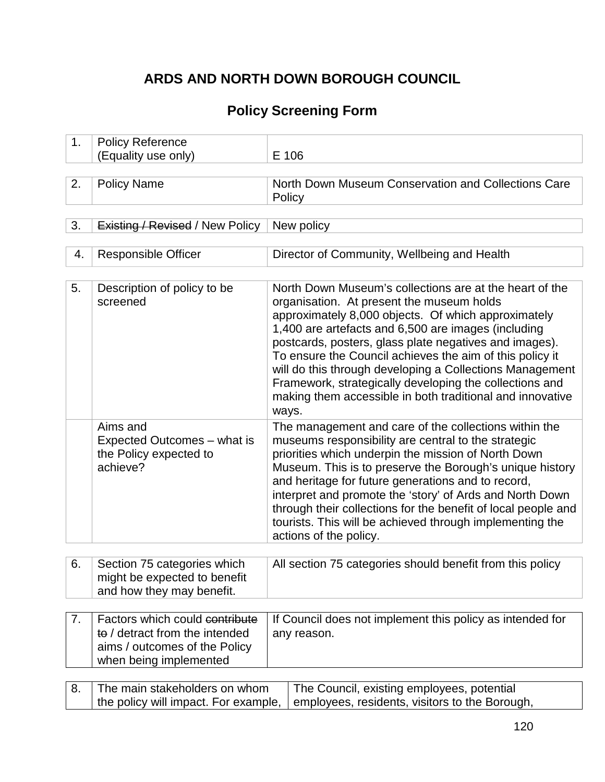## **ARDS AND NORTH DOWN BOROUGH COUNCIL**

# **Policy Screening Form**

| 1. | <b>Policy Reference</b>                                                                                                     |                                                                                                                                                                                                                                                                                                                                                                                                                                                                                                                                       |  |
|----|-----------------------------------------------------------------------------------------------------------------------------|---------------------------------------------------------------------------------------------------------------------------------------------------------------------------------------------------------------------------------------------------------------------------------------------------------------------------------------------------------------------------------------------------------------------------------------------------------------------------------------------------------------------------------------|--|
|    | (Equality use only)                                                                                                         | E 106                                                                                                                                                                                                                                                                                                                                                                                                                                                                                                                                 |  |
|    |                                                                                                                             |                                                                                                                                                                                                                                                                                                                                                                                                                                                                                                                                       |  |
| 2. | <b>Policy Name</b>                                                                                                          | North Down Museum Conservation and Collections Care<br>Policy                                                                                                                                                                                                                                                                                                                                                                                                                                                                         |  |
| 3. | <b>Existing / Revised / New Policy</b>                                                                                      |                                                                                                                                                                                                                                                                                                                                                                                                                                                                                                                                       |  |
|    |                                                                                                                             | New policy                                                                                                                                                                                                                                                                                                                                                                                                                                                                                                                            |  |
| 4. | <b>Responsible Officer</b>                                                                                                  | Director of Community, Wellbeing and Health                                                                                                                                                                                                                                                                                                                                                                                                                                                                                           |  |
| 5. | Description of policy to be<br>screened                                                                                     | North Down Museum's collections are at the heart of the<br>organisation. At present the museum holds<br>approximately 8,000 objects. Of which approximately<br>1,400 are artefacts and 6,500 are images (including<br>postcards, posters, glass plate negatives and images).<br>To ensure the Council achieves the aim of this policy it<br>will do this through developing a Collections Management<br>Framework, strategically developing the collections and<br>making them accessible in both traditional and innovative<br>ways. |  |
|    | Aims and<br>Expected Outcomes – what is<br>the Policy expected to<br>achieve?                                               | The management and care of the collections within the<br>museums responsibility are central to the strategic<br>priorities which underpin the mission of North Down<br>Museum. This is to preserve the Borough's unique history<br>and heritage for future generations and to record,<br>interpret and promote the 'story' of Ards and North Down<br>through their collections for the benefit of local people and<br>tourists. This will be achieved through implementing the<br>actions of the policy.                              |  |
| 6. | Section 75 categories which<br>might be expected to benefit<br>and how they may benefit.                                    | All section 75 categories should benefit from this policy                                                                                                                                                                                                                                                                                                                                                                                                                                                                             |  |
|    |                                                                                                                             |                                                                                                                                                                                                                                                                                                                                                                                                                                                                                                                                       |  |
| 7. | Factors which could contribute<br>to / detract from the intended<br>aims / outcomes of the Policy<br>when being implemented | If Council does not implement this policy as intended for<br>any reason.                                                                                                                                                                                                                                                                                                                                                                                                                                                              |  |
|    |                                                                                                                             |                                                                                                                                                                                                                                                                                                                                                                                                                                                                                                                                       |  |
| 8. | The main stakeholders on whom<br>the policy will impact. For example,                                                       | The Council, existing employees, potential<br>employees, residents, visitors to the Borough,                                                                                                                                                                                                                                                                                                                                                                                                                                          |  |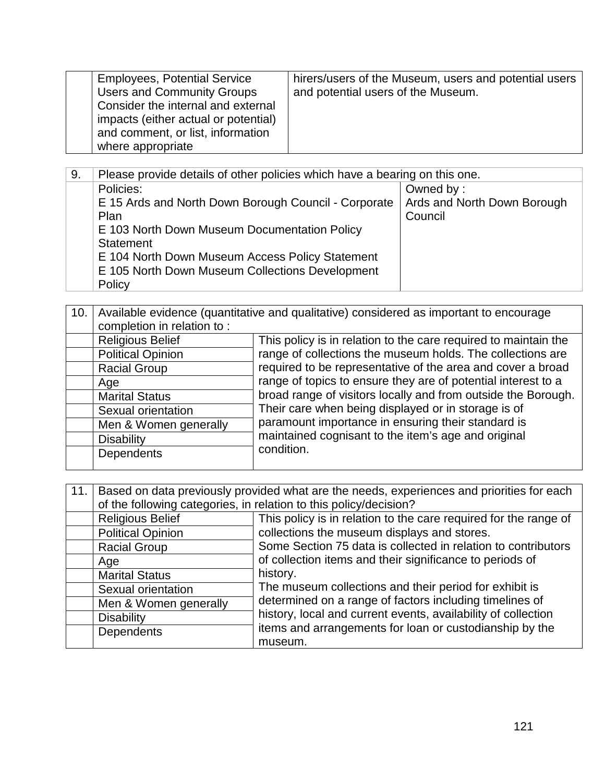| <b>Employees, Potential Service</b><br><b>Users and Community Groups</b><br>Consider the internal and external<br>impacts (either actual or potential)<br>and comment, or list, information<br>where appropriate | hirers/users of the Museum, users and potential users<br>and potential users of the Museum. |
|------------------------------------------------------------------------------------------------------------------------------------------------------------------------------------------------------------------|---------------------------------------------------------------------------------------------|
|------------------------------------------------------------------------------------------------------------------------------------------------------------------------------------------------------------------|---------------------------------------------------------------------------------------------|

| 9. | Please provide details of other policies which have a bearing on this one. |                             |  |
|----|----------------------------------------------------------------------------|-----------------------------|--|
|    | Policies:                                                                  | Owned by:                   |  |
|    | E 15 Ards and North Down Borough Council - Corporate                       | Ards and North Down Borough |  |
|    | Plan                                                                       | Council                     |  |
|    | E 103 North Down Museum Documentation Policy                               |                             |  |
|    | Statement                                                                  |                             |  |
|    | E 104 North Down Museum Access Policy Statement                            |                             |  |
|    | E 105 North Down Museum Collections Development                            |                             |  |
|    | Policy                                                                     |                             |  |

| 10. | Available evidence (quantitative and qualitative) considered as important to encourage |                                                                                                                                                                            |
|-----|----------------------------------------------------------------------------------------|----------------------------------------------------------------------------------------------------------------------------------------------------------------------------|
|     | completion in relation to:                                                             |                                                                                                                                                                            |
|     | <b>Religious Belief</b>                                                                | This policy is in relation to the care required to maintain the                                                                                                            |
|     | <b>Political Opinion</b>                                                               | range of collections the museum holds. The collections are                                                                                                                 |
|     | <b>Racial Group</b>                                                                    | required to be representative of the area and cover a broad                                                                                                                |
|     | Age                                                                                    | range of topics to ensure they are of potential interest to a                                                                                                              |
|     | <b>Marital Status</b>                                                                  | broad range of visitors locally and from outside the Borough.<br>Their care when being displayed or in storage is of<br>paramount importance in ensuring their standard is |
|     | Sexual orientation                                                                     |                                                                                                                                                                            |
|     | Men & Women generally                                                                  |                                                                                                                                                                            |
|     | <b>Disability</b>                                                                      | maintained cognisant to the item's age and original                                                                                                                        |
|     | <b>Dependents</b>                                                                      | condition.                                                                                                                                                                 |
|     |                                                                                        |                                                                                                                                                                            |

| 11. | Based on data previously provided what are the needs, experiences and priorities for each |                                                                                                                                                                                     |  |
|-----|-------------------------------------------------------------------------------------------|-------------------------------------------------------------------------------------------------------------------------------------------------------------------------------------|--|
|     |                                                                                           | of the following categories, in relation to this policy/decision?                                                                                                                   |  |
|     | <b>Religious Belief</b>                                                                   | This policy is in relation to the care required for the range of                                                                                                                    |  |
|     | <b>Political Opinion</b>                                                                  | collections the museum displays and stores.                                                                                                                                         |  |
|     | <b>Racial Group</b>                                                                       | Some Section 75 data is collected in relation to contributors                                                                                                                       |  |
|     | Age                                                                                       | of collection items and their significance to periods of                                                                                                                            |  |
|     | <b>Marital Status</b>                                                                     | history.                                                                                                                                                                            |  |
|     | Sexual orientation                                                                        | The museum collections and their period for exhibit is                                                                                                                              |  |
|     | Men & Women generally                                                                     | determined on a range of factors including timelines of<br>history, local and current events, availability of collection<br>items and arrangements for loan or custodianship by the |  |
|     | <b>Disability</b>                                                                         |                                                                                                                                                                                     |  |
|     | <b>Dependents</b>                                                                         |                                                                                                                                                                                     |  |
|     |                                                                                           | museum.                                                                                                                                                                             |  |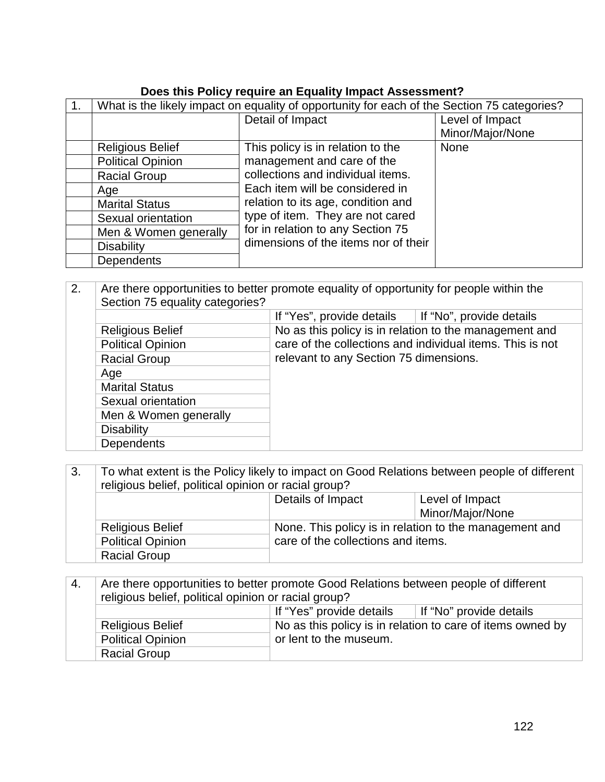### **Does this Policy require an Equality Impact Assessment?**

| What is the likely impact on equality of opportunity for each of the Section 75 categories? |                                      |                                     |
|---------------------------------------------------------------------------------------------|--------------------------------------|-------------------------------------|
|                                                                                             | Detail of Impact                     | Level of Impact<br>Minor/Major/None |
| <b>Religious Belief</b>                                                                     | This policy is in relation to the    | <b>None</b>                         |
| <b>Political Opinion</b>                                                                    | management and care of the           |                                     |
| <b>Racial Group</b>                                                                         | collections and individual items.    |                                     |
| Age                                                                                         | Each item will be considered in      |                                     |
| <b>Marital Status</b>                                                                       | relation to its age, condition and   |                                     |
| Sexual orientation                                                                          | type of item. They are not cared     |                                     |
| Men & Women generally                                                                       | for in relation to any Section 75    |                                     |
| <b>Disability</b>                                                                           | dimensions of the items nor of their |                                     |
| <b>Dependents</b>                                                                           |                                      |                                     |

| 2. | Section 75 equality categories? | Are there opportunities to better promote equality of opportunity for people within the |                                                           |  |
|----|---------------------------------|-----------------------------------------------------------------------------------------|-----------------------------------------------------------|--|
|    |                                 | If "Yes", provide details $\parallel$ If "No", provide details                          |                                                           |  |
|    | <b>Religious Belief</b>         |                                                                                         | No as this policy is in relation to the management and    |  |
|    | <b>Political Opinion</b>        |                                                                                         | care of the collections and individual items. This is not |  |
|    | <b>Racial Group</b>             | relevant to any Section 75 dimensions.                                                  |                                                           |  |
|    | Age                             |                                                                                         |                                                           |  |
|    | <b>Marital Status</b>           |                                                                                         |                                                           |  |
|    | Sexual orientation              |                                                                                         |                                                           |  |
|    | Men & Women generally           |                                                                                         |                                                           |  |
|    | <b>Disability</b>               |                                                                                         |                                                           |  |
|    | <b>Dependents</b>               |                                                                                         |                                                           |  |

| 3. | To what extent is the Policy likely to impact on Good Relations between people of different<br>religious belief, political opinion or racial group? |                                    |                                                        |
|----|-----------------------------------------------------------------------------------------------------------------------------------------------------|------------------------------------|--------------------------------------------------------|
|    |                                                                                                                                                     | Details of Impact                  | Level of Impact                                        |
|    |                                                                                                                                                     |                                    | Minor/Major/None                                       |
|    | <b>Religious Belief</b>                                                                                                                             |                                    | None. This policy is in relation to the management and |
|    | <b>Political Opinion</b>                                                                                                                            | care of the collections and items. |                                                        |
|    | <b>Racial Group</b>                                                                                                                                 |                                    |                                                        |

| ` 4. | Are there opportunities to better promote Good Relations between people of different<br>religious belief, political opinion or racial group? |                                                                                      |  |
|------|----------------------------------------------------------------------------------------------------------------------------------------------|--------------------------------------------------------------------------------------|--|
|      | If "Yes" provide details<br>If "No" provide details                                                                                          |                                                                                      |  |
|      | <b>Religious Belief</b>                                                                                                                      | No as this policy is in relation to care of items owned by<br>or lent to the museum. |  |
|      | <b>Political Opinion</b>                                                                                                                     |                                                                                      |  |
|      | <b>Racial Group</b>                                                                                                                          |                                                                                      |  |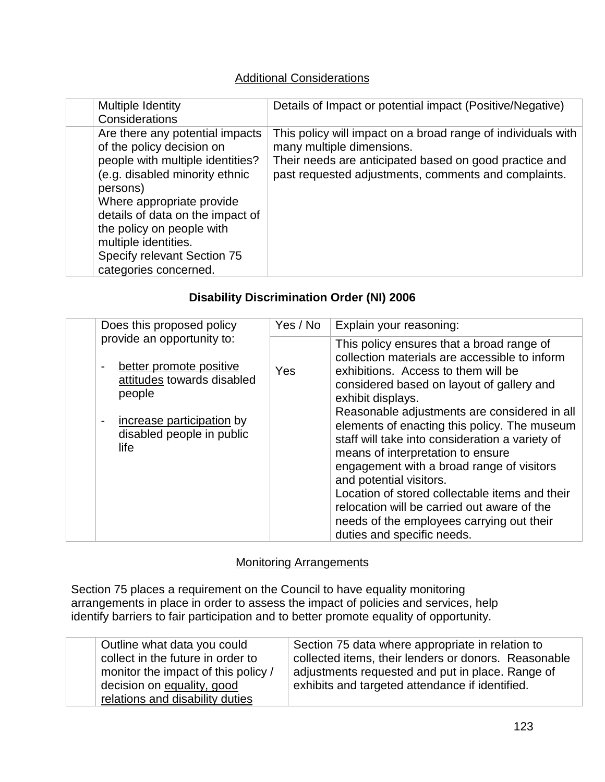#### Additional Considerations

| Multiple Identity<br>Considerations                                                                                                                                                                                                                                                                                          | Details of Impact or potential impact (Positive/Negative)                                                                                                                                                   |
|------------------------------------------------------------------------------------------------------------------------------------------------------------------------------------------------------------------------------------------------------------------------------------------------------------------------------|-------------------------------------------------------------------------------------------------------------------------------------------------------------------------------------------------------------|
| Are there any potential impacts<br>of the policy decision on<br>people with multiple identities?<br>(e.g. disabled minority ethnic<br>persons)<br>Where appropriate provide<br>details of data on the impact of<br>the policy on people with<br>multiple identities.<br>Specify relevant Section 75<br>categories concerned. | This policy will impact on a broad range of individuals with<br>many multiple dimensions.<br>Their needs are anticipated based on good practice and<br>past requested adjustments, comments and complaints. |

#### **Disability Discrimination Order (NI) 2006**

| Does this proposed policy                                                                                                 | Yes / No | Explain your reasoning:                                                                                                                                                                                                                                                                                                                                                                                                                  |
|---------------------------------------------------------------------------------------------------------------------------|----------|------------------------------------------------------------------------------------------------------------------------------------------------------------------------------------------------------------------------------------------------------------------------------------------------------------------------------------------------------------------------------------------------------------------------------------------|
| provide an opportunity to:<br>better promote positive<br>$\overline{\phantom{0}}$<br>attitudes towards disabled<br>people | Yes      | This policy ensures that a broad range of<br>collection materials are accessible to inform<br>exhibitions. Access to them will be<br>considered based on layout of gallery and<br>exhibit displays.                                                                                                                                                                                                                                      |
| increase participation by<br>$\qquad \qquad \blacksquare$<br>disabled people in public<br>life                            |          | Reasonable adjustments are considered in all<br>elements of enacting this policy. The museum<br>staff will take into consideration a variety of<br>means of interpretation to ensure<br>engagement with a broad range of visitors<br>and potential visitors.<br>Location of stored collectable items and their<br>relocation will be carried out aware of the<br>needs of the employees carrying out their<br>duties and specific needs. |

#### Monitoring Arrangements

Section 75 places a requirement on the Council to have equality monitoring arrangements in place in order to assess the impact of policies and services, help identify barriers to fair participation and to better promote equality of opportunity.

| Outline what data you could         | Section 75 data where appropriate in relation to     |
|-------------------------------------|------------------------------------------------------|
| collect in the future in order to   | collected items, their lenders or donors. Reasonable |
| monitor the impact of this policy / | adjustments requested and put in place. Range of     |
| decision on equality, good          | exhibits and targeted attendance if identified.      |
| relations and disability duties     |                                                      |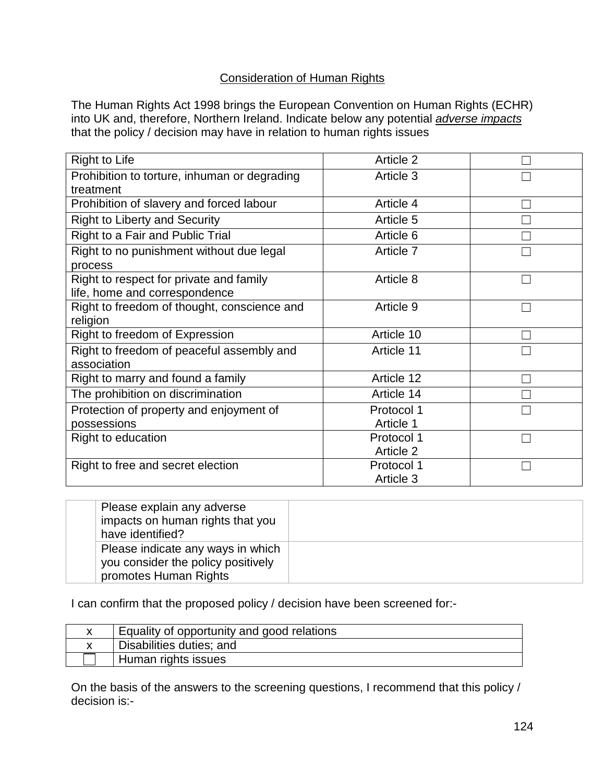#### Consideration of Human Rights

The Human Rights Act 1998 brings the European Convention on Human Rights (ECHR) into UK and, therefore, Northern Ireland. Indicate below any potential *adverse impacts* that the policy / decision may have in relation to human rights issues

| <b>Right to Life</b>                         | Article 2  |  |
|----------------------------------------------|------------|--|
| Prohibition to torture, inhuman or degrading | Article 3  |  |
| treatment                                    |            |  |
| Prohibition of slavery and forced labour     | Article 4  |  |
| <b>Right to Liberty and Security</b>         | Article 5  |  |
| Right to a Fair and Public Trial             | Article 6  |  |
| Right to no punishment without due legal     | Article 7  |  |
| process                                      |            |  |
| Right to respect for private and family      | Article 8  |  |
| life, home and correspondence                |            |  |
| Right to freedom of thought, conscience and  | Article 9  |  |
| religion                                     |            |  |
| Right to freedom of Expression               | Article 10 |  |
| Right to freedom of peaceful assembly and    | Article 11 |  |
| association                                  |            |  |
| Right to marry and found a family            | Article 12 |  |
| The prohibition on discrimination            | Article 14 |  |
| Protection of property and enjoyment of      | Protocol 1 |  |
| possessions                                  | Article 1  |  |
| Right to education                           | Protocol 1 |  |
|                                              | Article 2  |  |
| Right to free and secret election            | Protocol 1 |  |
|                                              | Article 3  |  |

| Please explain any adverse<br>impacts on human rights that you<br>have identified?               |  |
|--------------------------------------------------------------------------------------------------|--|
| Please indicate any ways in which<br>you consider the policy positively<br>promotes Human Rights |  |

I can confirm that the proposed policy / decision have been screened for:-

| Equality of opportunity and good relations |
|--------------------------------------------|
| Disabilities duties; and                   |
| Human rights issues                        |

On the basis of the answers to the screening questions, I recommend that this policy / decision is:-